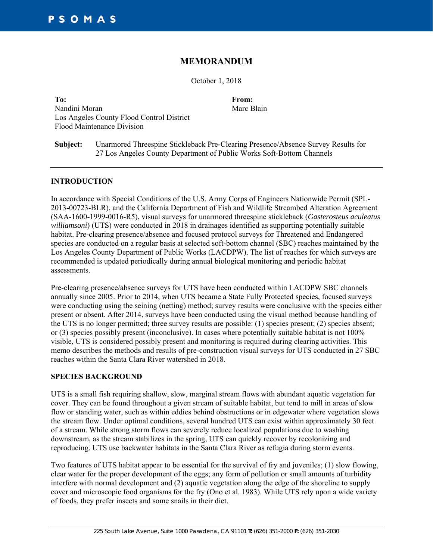# **MEMORANDUM**

October 1, 2018

**To: From:** Nandini Moran Los Angeles County Flood Control District Flood Maintenance Division

Marc Blain

**Subject:** Unarmored Threespine Stickleback Pre-Clearing Presence/Absence Survey Results for 27 Los Angeles County Department of Public Works Soft-Bottom Channels

### **INTRODUCTION**

In accordance with Special Conditions of the U.S. Army Corps of Engineers Nationwide Permit (SPL-2013-00723-BLR), and the California Department of Fish and Wildlife Streambed Alteration Agreement (SAA-1600-1999-0016-R5), visual surveys for unarmored threespine stickleback (*Gasterosteus aculeatus williamsoni*) (UTS) were conducted in 2018 in drainages identified as supporting potentially suitable habitat. Pre-clearing presence/absence and focused protocol surveys for Threatened and Endangered species are conducted on a regular basis at selected soft-bottom channel (SBC) reaches maintained by the Los Angeles County Department of Public Works (LACDPW). The list of reaches for which surveys are recommended is updated periodically during annual biological monitoring and periodic habitat assessments.

Pre-clearing presence/absence surveys for UTS have been conducted within LACDPW SBC channels annually since 2005. Prior to 2014, when UTS became a State Fully Protected species, focused surveys were conducting using the seining (netting) method; survey results were conclusive with the species either present or absent. After 2014, surveys have been conducted using the visual method because handling of the UTS is no longer permitted; three survey results are possible: (1) species present; (2) species absent; or (3) species possibly present (inconclusive). In cases where potentially suitable habitat is not 100% visible, UTS is considered possibly present and monitoring is required during clearing activities. This memo describes the methods and results of pre-construction visual surveys for UTS conducted in 27 SBC reaches within the Santa Clara River watershed in 2018.

### **SPECIES BACKGROUND**

UTS is a small fish requiring shallow, slow, marginal stream flows with abundant aquatic vegetation for cover. They can be found throughout a given stream of suitable habitat, but tend to mill in areas of slow flow or standing water, such as within eddies behind obstructions or in edgewater where vegetation slows the stream flow. Under optimal conditions, several hundred UTS can exist within approximately 30 feet of a stream. While strong storm flows can severely reduce localized populations due to washing downstream, as the stream stabilizes in the spring, UTS can quickly recover by recolonizing and reproducing. UTS use backwater habitats in the Santa Clara River as refugia during storm events.

Two features of UTS habitat appear to be essential for the survival of fry and juveniles; (1) slow flowing, clear water for the proper development of the eggs; any form of pollution or small amounts of turbidity interfere with normal development and (2) aquatic vegetation along the edge of the shoreline to supply cover and microscopic food organisms for the fry (Ono et al. 1983). While UTS rely upon a wide variety of foods, they prefer insects and some snails in their diet.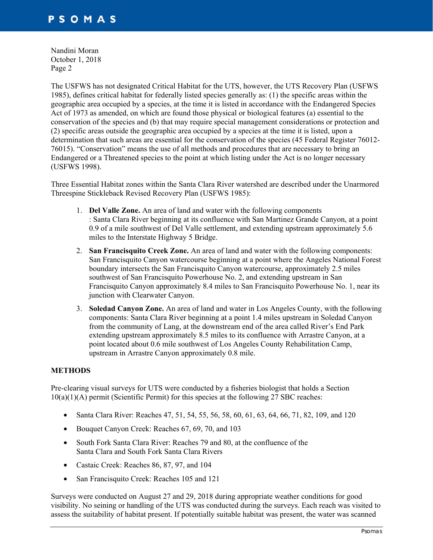The USFWS has not designated Critical Habitat for the UTS, however, the UTS Recovery Plan (USFWS 1985), defines critical habitat for federally listed species generally as: (1) the specific areas within the geographic area occupied by a species, at the time it is listed in accordance with the Endangered Species Act of 1973 as amended, on which are found those physical or biological features (a) essential to the conservation of the species and (b) that may require special management considerations or protection and (2) specific areas outside the geographic area occupied by a species at the time it is listed, upon a determination that such areas are essential for the conservation of the species (45 Federal Register 76012- 76015). "Conservation" means the use of all methods and procedures that are necessary to bring an Endangered or a Threatened species to the point at which listing under the Act is no longer necessary (USFWS 1998).

Three Essential Habitat zones within the Santa Clara River watershed are described under the Unarmored Threespine Stickleback Revised Recovery Plan (USFWS 1985):

- 1. **Del Valle Zone.** An area of land and water with the following components : Santa Clara River beginning at its confluence with San Martinez Grande Canyon, at a point 0.9 of a mile southwest of Del Valle settlement, and extending upstream approximately 5.6 miles to the Interstate Highway 5 Bridge.
- 2. **San Francisquito Creek Zone.** An area of land and water with the following components: San Francisquito Canyon watercourse beginning at a point where the Angeles National Forest boundary intersects the San Francisquito Canyon watercourse, approximately 2.5 miles southwest of San Francisquito Powerhouse No. 2, and extending upstream in San Francisquito Canyon approximately 8.4 miles to San Francisquito Powerhouse No. 1, near its junction with Clearwater Canyon.
- 3. **Soledad Canyon Zone.** An area of land and water in Los Angeles County, with the following components: Santa Clara River beginning at a point 1.4 miles upstream in Soledad Canyon from the community of Lang, at the downstream end of the area called River's End Park extending upstream approximately 8.5 miles to its confluence with Arrastre Canyon, at a point located about 0.6 mile southwest of Los Angeles County Rehabilitation Camp, upstream in Arrastre Canyon approximately 0.8 mile.

## **METHODS**

Pre-clearing visual surveys for UTS were conducted by a fisheries biologist that holds a Section 10(a)(1)(A) permit (Scientific Permit) for this species at the following 27 SBC reaches:

- Santa Clara River: Reaches 47, 51, 54, 55, 56, 58, 60, 61, 63, 64, 66, 71, 82, 109, and 120
- Bouquet Canyon Creek: Reaches 67, 69, 70, and 103
- South Fork Santa Clara River: Reaches 79 and 80, at the confluence of the Santa Clara and South Fork Santa Clara Rivers
- Castaic Creek: Reaches 86, 87, 97, and 104
- San Francisquito Creek: Reaches 105 and 121

Surveys were conducted on August 27 and 29, 2018 during appropriate weather conditions for good visibility. No seining or handling of the UTS was conducted during the surveys. Each reach was visited to assess the suitability of habitat present. If potentially suitable habitat was present, the water was scanned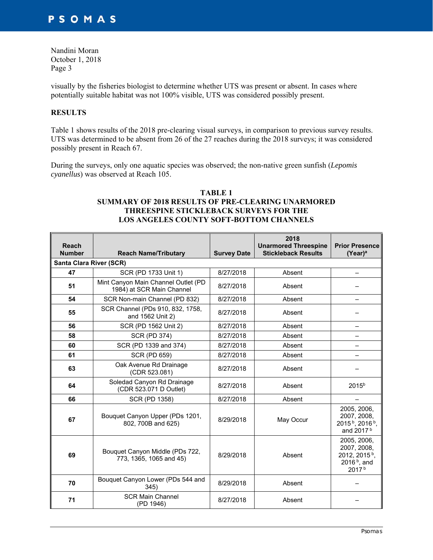visually by the fisheries biologist to determine whether UTS was present or absent. In cases where potentially suitable habitat was not 100% visible, UTS was considered possibly present.

## **RESULTS**

Table 1 shows results of the 2018 pre-clearing visual surveys, in comparison to previous survey results. UTS was determined to be absent from 26 of the 27 reaches during the 2018 surveys; it was considered possibly present in Reach 67.

During the surveys, only one aquatic species was observed; the non-native green sunfish (*Lepomis cyanellus*) was observed at Reach 105.

### **TABLE 1 SUMMARY OF 2018 RESULTS OF PRE-CLEARING UNARMORED THREESPINE STICKLEBACK SURVEYS FOR THE LOS ANGELES COUNTY SOFT-BOTTOM CHANNELS**

| <b>Reach</b><br><b>Number</b> | <b>Reach Name/Tributary</b>                                      | <b>Survey Date</b> | 2018<br><b>Unarmored Threespine</b><br><b>Stickleback Results</b> | <b>Prior Presence</b><br>$(Year)^a$                                                            |  |  |  |
|-------------------------------|------------------------------------------------------------------|--------------------|-------------------------------------------------------------------|------------------------------------------------------------------------------------------------|--|--|--|
| Santa Clara River (SCR)       |                                                                  |                    |                                                                   |                                                                                                |  |  |  |
| 47                            | SCR (PD 1733 Unit 1)                                             | 8/27/2018          | Absent                                                            |                                                                                                |  |  |  |
| 51                            | Mint Canyon Main Channel Outlet (PD<br>1984) at SCR Main Channel | 8/27/2018          | Absent                                                            |                                                                                                |  |  |  |
| 54                            | SCR Non-main Channel (PD 832)                                    | 8/27/2018          | Absent                                                            | —                                                                                              |  |  |  |
| 55                            | SCR Channel (PDs 910, 832, 1758,<br>and 1562 Unit 2)             | 8/27/2018          | Absent                                                            |                                                                                                |  |  |  |
| 56                            | SCR (PD 1562 Unit 2)                                             | 8/27/2018          | Absent                                                            |                                                                                                |  |  |  |
| 58                            | <b>SCR (PD 374)</b>                                              | 8/27/2018          | Absent                                                            |                                                                                                |  |  |  |
| 60                            | SCR (PD 1339 and 374)                                            | 8/27/2018          | Absent                                                            |                                                                                                |  |  |  |
| 61                            | <b>SCR (PD 659)</b>                                              | 8/27/2018          | Absent                                                            |                                                                                                |  |  |  |
| 63                            | Oak Avenue Rd Drainage<br>(CDR 523.081)                          | 8/27/2018          | Absent                                                            |                                                                                                |  |  |  |
| 64                            | Soledad Canyon Rd Drainage<br>(CDR 523.071 D Outlet)             | 8/27/2018          | Absent                                                            | $2015^{b}$                                                                                     |  |  |  |
| 66                            | SCR (PD 1358)                                                    | 8/27/2018          | Absent                                                            |                                                                                                |  |  |  |
| 67                            | Bouquet Canyon Upper (PDs 1201,<br>802, 700B and 625)            | 8/29/2018          | May Occur                                                         | 2005, 2006,<br>2007, 2008,<br>2015 <sup>b</sup> , 2016 <sup>b</sup> ,<br>and 2017 <sup>b</sup> |  |  |  |
| 69                            | Bouquet Canyon Middle (PDs 722,<br>773, 1365, 1065 and 45)       | 8/29/2018          | Absent                                                            | 2005, 2006,<br>2007, 2008,<br>2012, 2015 <sup>b</sup> ,<br>2016 $b$ , and<br>2017b             |  |  |  |
| 70                            | Bouquet Canyon Lower (PDs 544 and<br>345)                        | 8/29/2018          | Absent                                                            |                                                                                                |  |  |  |
| 71                            | <b>SCR Main Channel</b><br>(PD 1946)                             | 8/27/2018          | Absent                                                            |                                                                                                |  |  |  |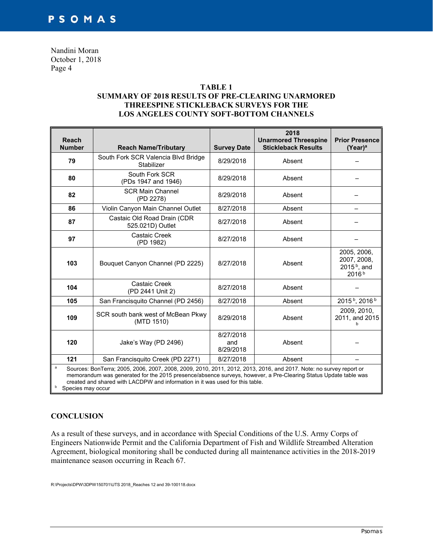## **TABLE 1 SUMMARY OF 2018 RESULTS OF PRE-CLEARING UNARMORED THREESPINE STICKLEBACK SURVEYS FOR THE LOS ANGELES COUNTY SOFT-BOTTOM CHANNELS**

| <b>Reach</b><br><b>Number</b>                                                                                                                                                                                                                                                                                                                                    | <b>Reach Name/Tributary</b>                       | <b>Survey Date</b>            | 2018<br><b>Unarmored Threespine</b><br><b>Stickleback Results</b> | <b>Prior Presence</b><br>$(Year)^a$                               |  |
|------------------------------------------------------------------------------------------------------------------------------------------------------------------------------------------------------------------------------------------------------------------------------------------------------------------------------------------------------------------|---------------------------------------------------|-------------------------------|-------------------------------------------------------------------|-------------------------------------------------------------------|--|
| 79                                                                                                                                                                                                                                                                                                                                                               | South Fork SCR Valencia Blvd Bridge<br>Stabilizer | 8/29/2018                     | Absent                                                            |                                                                   |  |
| 80                                                                                                                                                                                                                                                                                                                                                               | South Fork SCR<br>(PDs 1947 and 1946)             | 8/29/2018                     | Absent                                                            |                                                                   |  |
| 82                                                                                                                                                                                                                                                                                                                                                               | <b>SCR Main Channel</b><br>(PD 2278)              | 8/29/2018                     | Absent                                                            |                                                                   |  |
| 86                                                                                                                                                                                                                                                                                                                                                               | Violin Canyon Main Channel Outlet                 | 8/27/2018                     | Absent                                                            |                                                                   |  |
| 87                                                                                                                                                                                                                                                                                                                                                               | Castaic Old Road Drain (CDR<br>525.021D) Outlet   | 8/27/2018                     | Absent                                                            |                                                                   |  |
| 97                                                                                                                                                                                                                                                                                                                                                               | Castaic Creek<br>(PD 1982)                        | 8/27/2018                     | Absent                                                            |                                                                   |  |
| 103                                                                                                                                                                                                                                                                                                                                                              | Bouquet Canyon Channel (PD 2225)                  | 8/27/2018                     | Absent                                                            | 2005, 2006,<br>2007, 2008,<br>2015 $b$ , and<br>2016 <sup>b</sup> |  |
| 104                                                                                                                                                                                                                                                                                                                                                              | Castaic Creek<br>(PD 2441 Unit 2)                 | 8/27/2018                     | Absent                                                            |                                                                   |  |
| 105                                                                                                                                                                                                                                                                                                                                                              | San Francisquito Channel (PD 2456)                | 8/27/2018                     | Absent                                                            | 2015 <sup>b</sup> , 2016 <sup>b</sup>                             |  |
| 109                                                                                                                                                                                                                                                                                                                                                              | SCR south bank west of McBean Pkwy<br>(MTD 1510)  | 8/29/2018                     | Absent                                                            | 2009, 2010,<br>2011, and 2015                                     |  |
| 120                                                                                                                                                                                                                                                                                                                                                              | Jake's Way (PD 2496)                              | 8/27/2018<br>and<br>8/29/2018 | Absent                                                            |                                                                   |  |
| 121                                                                                                                                                                                                                                                                                                                                                              | San Francisquito Creek (PD 2271)                  | 8/27/2018                     | Absent                                                            |                                                                   |  |
| $\mathbf{a}$<br>Sources: BonTerra; 2005, 2006, 2007, 2008, 2009, 2010, 2011, 2012, 2013, 2016, and 2017. Note: no survey report or<br>memorandum was generated for the 2015 presence/absence surveys, however, a Pre-Clearing Status Update table was<br>created and shared with LACDPW and information in it was used for this table.<br>b<br>Species may occur |                                                   |                               |                                                                   |                                                                   |  |

## **CONCLUSION**

As a result of these surveys, and in accordance with Special Conditions of the U.S. Army Corps of Engineers Nationwide Permit and the California Department of Fish and Wildlife Streambed Alteration Agreement, biological monitoring shall be conducted during all maintenance activities in the 2018-2019 maintenance season occurring in Reach 67.

R:\Projects\DPW\3DPW150701\UTS 2018\_Reaches 12 and 39-100118.docx